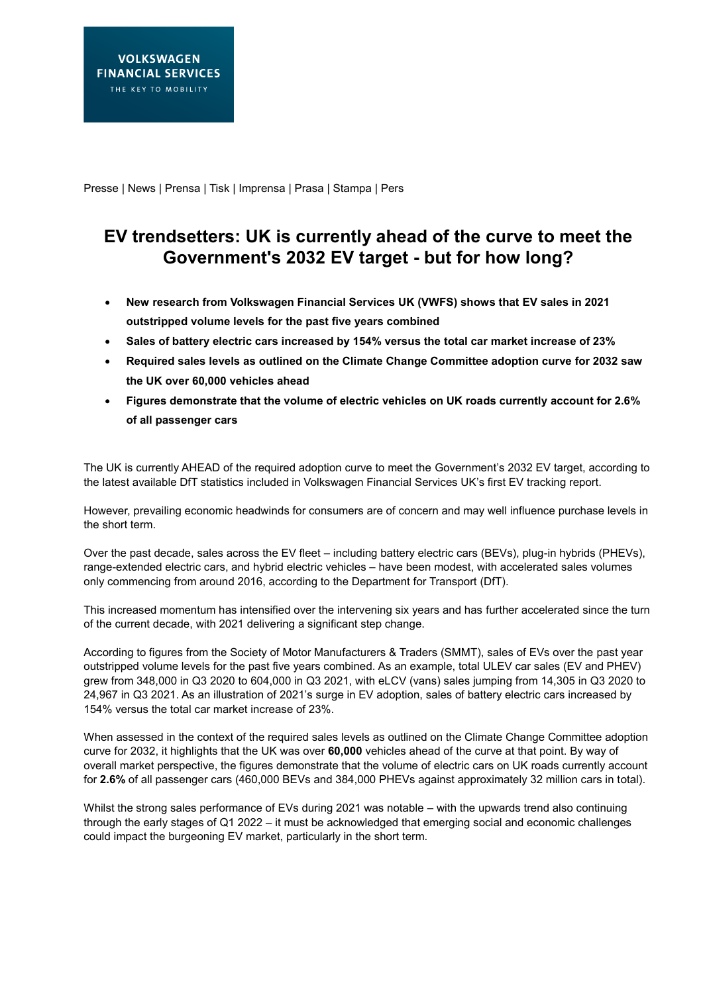Presse | News | Prensa | Tisk | Imprensa | Prasa | Stampa | Pers

## **EV trendsetters: UK is currently ahead of the curve to meet the Government's 2032 EV target - but for how long?**

- **New research from Volkswagen Financial Services UK (VWFS) shows that EV sales in 2021 outstripped volume levels for the past five years combined**
- **Sales of battery electric cars increased by 154% versus the total car market increase of 23%**
- **Required sales levels as outlined on the Climate Change Committee adoption curve for 2032 saw the UK over 60,000 vehicles ahead**
- **Figures demonstrate that the volume of electric vehicles on UK roads currently account for 2.6% of all passenger cars**

The UK is currently AHEAD of the required adoption curve to meet the Government's 2032 EV target, according to the latest available DfT statistics included in Volkswagen Financial Services UK's first EV tracking report.

However, prevailing economic headwinds for consumers are of concern and may well influence purchase levels in the short term.

Over the past decade, sales across the EV fleet – including battery electric cars (BEVs), plug-in hybrids (PHEVs), range-extended electric cars, and hybrid electric vehicles – have been modest, with accelerated sales volumes only commencing from around 2016, according to the Department for Transport (DfT).

This increased momentum has intensified over the intervening six years and has further accelerated since the turn of the current decade, with 2021 delivering a significant step change.

According to figures from the Society of Motor Manufacturers & Traders (SMMT), sales of EVs over the past year outstripped volume levels for the past five years combined. As an example, total ULEV car sales (EV and PHEV) grew from 348,000 in Q3 2020 to 604,000 in Q3 2021, with eLCV (vans) sales jumping from 14,305 in Q3 2020 to 24,967 in Q3 2021. As an illustration of 2021's surge in EV adoption, sales of battery electric cars increased by 154% versus the total car market increase of 23%.

When assessed in the context of the required sales levels as outlined on the Climate Change Committee adoption curve for 2032, it highlights that the UK was over **60,000** vehicles ahead of the curve at that point. By way of overall market perspective, the figures demonstrate that the volume of electric cars on UK roads currently account for **2.6%** of all passenger cars (460,000 BEVs and 384,000 PHEVs against approximately 32 million cars in total).

Whilst the strong sales performance of EVs during 2021 was notable – with the upwards trend also continuing through the early stages of Q1 2022 – it must be acknowledged that emerging social and economic challenges could impact the burgeoning EV market, particularly in the short term.